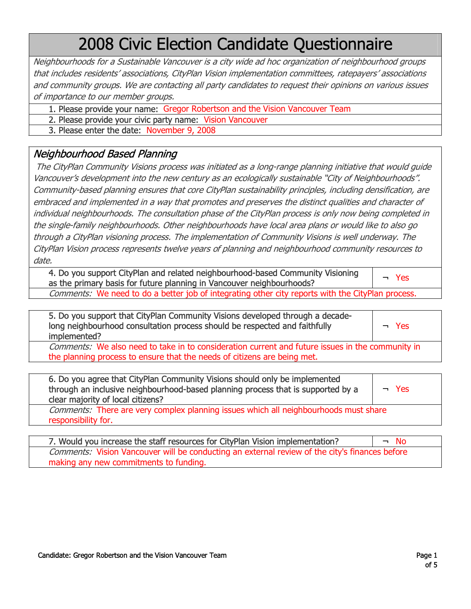# 2008 Civic Election Candidate Questionnaire

Neighbourhoods for a Sustainable Vancouver is a city wide ad hoc organization of neighbourhood groups that includes residentsí associations, CityPlan Vision implementation committees, ratepayersí associations and community groups. We are contacting all party candidates to request their opinions on various issues of importance to our member groups.

- 1. Please provide your name: Gregor Robertson and the Vision Vancouver Team
- 2. Please provide your civic party name: Vision Vancouver
- 3. Please enter the date: November 9, 2008

### Neighbourhood Based Planning

The CityPlan Community Visions process was initiated as a long-range planning initiative that would guide Vancouver's development into the new century as an ecologically sustainable "City of Neighbourhoods". Community-based planning ensures that core CityPlan sustainability principles, including densification, are embraced and implemented in a way that promotes and preserves the distinct qualities and character of individual neighbourhoods. The consultation phase of the CityPlan process is only now being completed in the single-family neighbourhoods. Other neighbourhoods have local area plans or would like to also go through a CityPlan visioning process. The implementation of Community Visions is well underway. The CityPlan Vision process represents twelve years of planning and neighbourhood community resources to date.

| 4. Do you support CityPlan and related neighbourhood-based Community Visioning<br>as the primary basis for future planning in Vancouver neighbourhoods? | $\neg$ Yes |
|---------------------------------------------------------------------------------------------------------------------------------------------------------|------------|
| Comments: We need to do a better job of integrating other city reports with the CityPlan process.                                                       |            |

| 5. Do you support that CityPlan Community Visions developed through a decade-<br>long neighbourhood consultation process should be respected and faithfully<br>implemented?         | $\neg$ Yes |
|-------------------------------------------------------------------------------------------------------------------------------------------------------------------------------------|------------|
| <i>Comments:</i> We also need to take in to consideration current and future issues in the community in<br>the planning process to ensure that the needs of citizens are being met. |            |

| 6. Do you agree that CityPlan Community Visions should only be implemented<br>through an inclusive neighbourhood-based planning process that is supported by a<br>clear majority of local citizens? | $\neg$ Yes |
|-----------------------------------------------------------------------------------------------------------------------------------------------------------------------------------------------------|------------|
| <i>Comments:</i> There are very complex planning issues which all neighbourhoods must share<br>responsibility for.                                                                                  |            |

7. Would you increase the staff resources for CityPlan Vision implementation?  $\Box \Box$  No Comments: Vision Vancouver will be conducting an external review of the city's finances before making any new commitments to funding.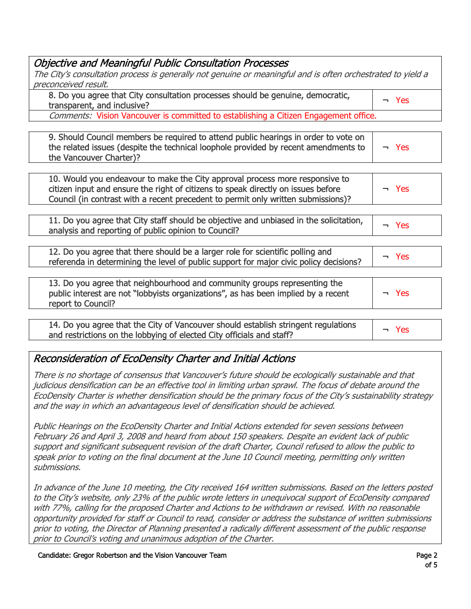| <b>Objective and Meaningful Public Consultation Processes</b>                                                                                                                                                                                          |            |
|--------------------------------------------------------------------------------------------------------------------------------------------------------------------------------------------------------------------------------------------------------|------------|
| The City's consultation process is generally not genuine or meaningful and is often orchestrated to yield a                                                                                                                                            |            |
| preconceived result.                                                                                                                                                                                                                                   |            |
| 8. Do you agree that City consultation processes should be genuine, democratic,<br>transparent, and inclusive?                                                                                                                                         | $\neg$ Yes |
| Comments: Vision Vancouver is committed to establishing a Citizen Engagement office.                                                                                                                                                                   |            |
|                                                                                                                                                                                                                                                        |            |
| 9. Should Council members be required to attend public hearings in order to vote on<br>the related issues (despite the technical loophole provided by recent amendments to<br>the Vancouver Charter)?                                                  | $\neg$ Yes |
|                                                                                                                                                                                                                                                        |            |
| 10. Would you endeavour to make the City approval process more responsive to<br>citizen input and ensure the right of citizens to speak directly on issues before<br>Council (in contrast with a recent precedent to permit only written submissions)? | $-$ Yes    |
|                                                                                                                                                                                                                                                        |            |
| 11. Do you agree that City staff should be objective and unbiased in the solicitation,<br>analysis and reporting of public opinion to Council?                                                                                                         | $\neg$ Yes |
|                                                                                                                                                                                                                                                        |            |
| 12. Do you agree that there should be a larger role for scientific polling and<br>referenda in determining the level of public support for major civic policy decisions?                                                                               | $\neg$ Yes |
|                                                                                                                                                                                                                                                        |            |
| 13. Do you agree that neighbourhood and community groups representing the<br>public interest are not "lobbyists organizations", as has been implied by a recent<br>report to Council?                                                                  | $\neg$ Yes |
|                                                                                                                                                                                                                                                        |            |
| 14. Do you agree that the City of Vancouver should establish stringent regulations<br>and restrictions on the lobbying of elected City officials and staff?                                                                                            | $-$ Yes    |

## Reconsideration of EcoDensity Charter and Initial Actions

There is no shortage of consensus that Vancouverís future should be ecologically sustainable and that judicious densification can be an effective tool in limiting urban sprawl. The focus of debate around the EcoDensity Charter is whether densification should be the primary focus of the Cityís sustainability strategy and the way in which an advantageous level of densification should be achieved.

Public Hearings on the EcoDensity Charter and Initial Actions extended for seven sessions between February 26 and April 3, 2008 and heard from about 150 speakers. Despite an evident lack of public support and significant subsequent revision of the draft Charter, Council refused to allow the public to speak prior to voting on the final document at the June 10 Council meeting, permitting only written submissions.

In advance of the June 10 meeting, the City received 164 written submissions. Based on the letters posted to the Cityís website, only 23% of the public wrote letters in unequivocal support of EcoDensity compared with 77%, calling for the proposed Charter and Actions to be withdrawn or revised. With no reasonable opportunity provided for staff or Council to read, consider or address the substance of written submissions prior to voting, the Director of Planning presented a radically different assessment of the public response prior to Council's voting and unanimous adoption of the Charter.

Candidate: Gregor Robertson and the Vision Vancouver Team Page 2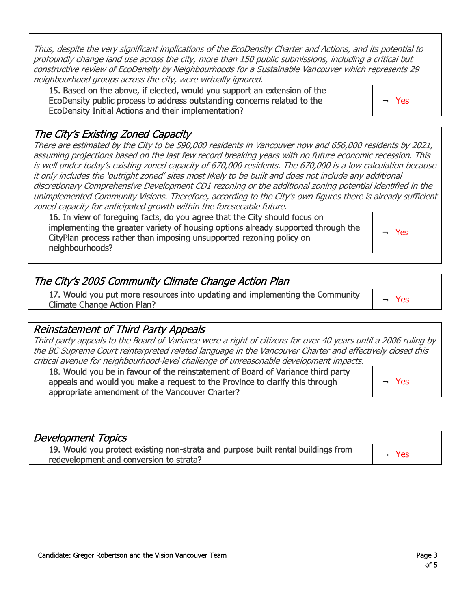Thus, despite the very significant implications of the EcoDensity Charter and Actions, and its potential to profoundly change land use across the city, more than 150 public submissions, including a critical but constructive review of EcoDensity by Neighbourhoods for a Sustainable Vancouver which represents 29 neighbourhood groups across the city, were virtually ignored.

15. Based on the above, if elected, would you support an extension of the EcoDensity public process to address outstanding concerns related to the EcoDensity Initial Actions and their implementation?

¬ Yes

### The Cityís Existing Zoned Capacity

There are estimated by the City to be 590,000 residents in Vancouver now and 656,000 residents by 2021, assuming projections based on the last few record breaking years with no future economic recession. This is well under todayís existing zoned capacity of 670,000 residents. The 670,000 is a low calculation because it only includes the 'outright zoned' sites most likely to be built and does not include any additional discretionary Comprehensive Development CD1 rezoning or the additional zoning potential identified in the unimplemented Community Visions. Therefore, according to the City's own figures there is already sufficient zoned capacity for anticipated growth within the foreseeable future.

16. In view of foregoing facts, do you agree that the City should focus on implementing the greater variety of housing options already supported through the CityPlan process rather than imposing unsupported rezoning policy on neighbourhoods?

¬ Yes

| The City's 2005 Community Climate Change Action Plan                                                                |            |
|---------------------------------------------------------------------------------------------------------------------|------------|
| 17. Would you put more resources into updating and implementing the Community<br><b>Climate Change Action Plan?</b> | <b>Yes</b> |

#### Reinstatement of Third Party Appeals

Third party appeals to the Board of Variance were a right of citizens for over 40 years until a 2006 ruling by the BC Supreme Court reinterpreted related language in the Vancouver Charter and effectively closed this critical avenue for neighbourhood-level challenge of unreasonable development impacts.

| 18. Would you be in favour of the reinstatement of Board of Variance third party<br>appeals and would you make a request to the Province to clarify this through | $\neg$ Yes |
|------------------------------------------------------------------------------------------------------------------------------------------------------------------|------------|
| appropriate amendment of the Vancouver Charter?                                                                                                                  |            |

| <b>Development Topics</b>                                                                                                    |     |
|------------------------------------------------------------------------------------------------------------------------------|-----|
| 19. Would you protect existing non-strata and purpose built rental buildings from<br>redevelopment and conversion to strata? | Yes |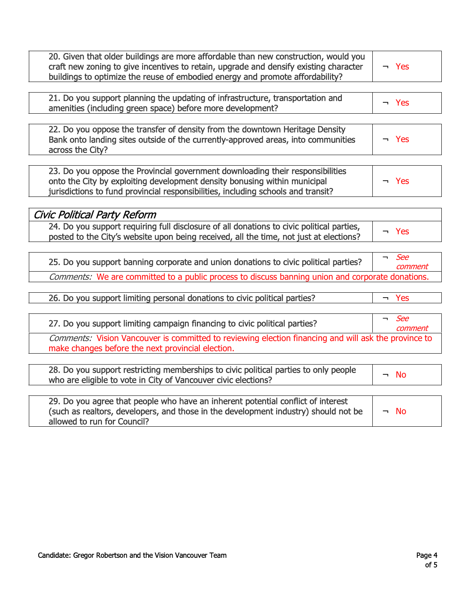| 20. Given that older buildings are more affordable than new construction, would you<br>craft new zoning to give incentives to retain, upgrade and densify existing character<br>buildings to optimize the reuse of embodied energy and promote affordability? | $\neg$ Yes                                        |
|---------------------------------------------------------------------------------------------------------------------------------------------------------------------------------------------------------------------------------------------------------------|---------------------------------------------------|
|                                                                                                                                                                                                                                                               |                                                   |
| 21. Do you support planning the updating of infrastructure, transportation and<br>amenities (including green space) before more development?                                                                                                                  | $\neg$ Yes                                        |
|                                                                                                                                                                                                                                                               |                                                   |
| 22. Do you oppose the transfer of density from the downtown Heritage Density<br>Bank onto landing sites outside of the currently-approved areas, into communities<br>across the City?                                                                         | $\neg$ Yes                                        |
|                                                                                                                                                                                                                                                               |                                                   |
| 23. Do you oppose the Provincial government downloading their responsibilities<br>onto the City by exploiting development density bonusing within municipal<br>jurisdictions to fund provincial responsibilities, including schools and transit?              | $-$ Yes                                           |
|                                                                                                                                                                                                                                                               |                                                   |
| Civic Political Party Reform                                                                                                                                                                                                                                  |                                                   |
|                                                                                                                                                                                                                                                               |                                                   |
| 24. Do you support requiring full disclosure of all donations to civic political parties,<br>posted to the City's website upon being received, all the time, not just at elections?                                                                           | $-$ Yes                                           |
|                                                                                                                                                                                                                                                               |                                                   |
| 25. Do you support banning corporate and union donations to civic political parties?                                                                                                                                                                          | See<br>$\overline{\phantom{0}}$<br>comment        |
| Comments: We are committed to a public process to discuss banning union and corporate donations.                                                                                                                                                              |                                                   |
|                                                                                                                                                                                                                                                               |                                                   |
| 26. Do you support limiting personal donations to civic political parties?                                                                                                                                                                                    | $-$ Yes                                           |
|                                                                                                                                                                                                                                                               |                                                   |
|                                                                                                                                                                                                                                                               |                                                   |
| 27. Do you support limiting campaign financing to civic political parties?                                                                                                                                                                                    | <b>See</b><br>$\overline{\phantom{0}}$<br>comment |
| Comments: Vision Vancouver is committed to reviewing election financing and will ask the province to<br>make changes before the next provincial election.                                                                                                     |                                                   |
|                                                                                                                                                                                                                                                               |                                                   |
| 28. Do you support restricting memberships to civic political parties to only people<br>who are eligible to vote in City of Vancouver civic elections?                                                                                                        | $\neg$ No                                         |
|                                                                                                                                                                                                                                                               |                                                   |
| 29. Do you agree that people who have an inherent potential conflict of interest<br>(such as realtors, developers, and those in the development industry) should not be<br>allowed to run for Council?                                                        | <b>No</b><br>$\overline{\phantom{0}}$             |